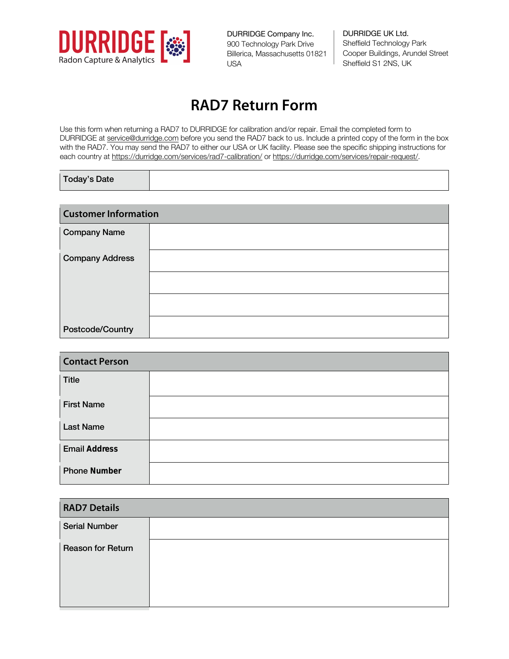

DURRIDGE Company Inc. 900 Technology Park Drive Billerica, Massachusetts 01821 USA

DURRIDGE UK Ltd. Sheffield Technology Park Cooper Buildings, Arundel Street Sheffield S1 2NS, UK

## **RAD7 Return Form**

Use this form when returning a RAD7 to DURRIDGE for calibration and/or repair. Email the completed form to DURRIDGE at service@durridge.com before you send the RAD7 back to us. Include a printed copy of the form in the box with the RAD7. You may send the RAD7 to either our USA or UK facility. Please see the specific shipping instructions for each country at https://durridge.com/services/rad7-calibration/ or https://durridge.com/services/repair-request/.

| <b>Today's Date</b> |
|---------------------|
|                     |

| <b>Customer Information</b> |  |
|-----------------------------|--|
| <b>Company Name</b>         |  |
| <b>Company Address</b>      |  |
|                             |  |
|                             |  |
| Postcode/Country            |  |

| <b>Contact Person</b> |  |
|-----------------------|--|
| <b>Title</b>          |  |
| <b>First Name</b>     |  |
| <b>Last Name</b>      |  |
| <b>Email Address</b>  |  |
| <b>Phone Number</b>   |  |

| <b>RAD7 Details</b>      |  |
|--------------------------|--|
| <b>Serial Number</b>     |  |
| <b>Reason for Return</b> |  |